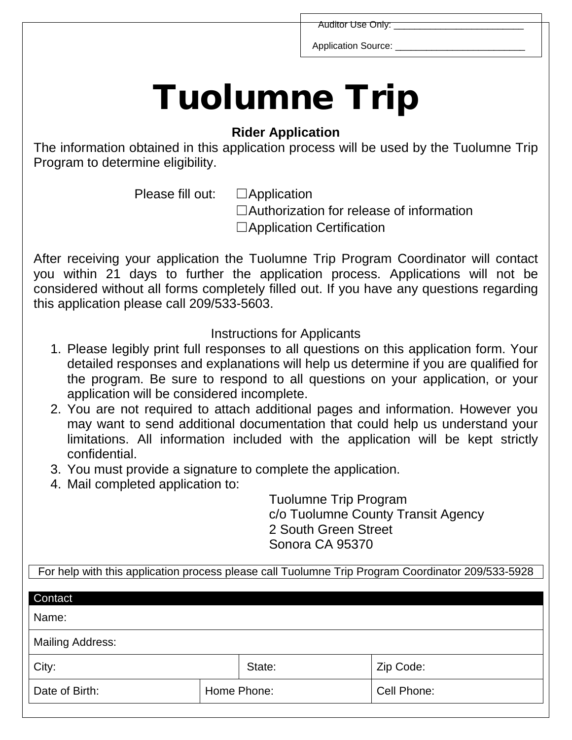Auditor Use Only:

Application Source:

## Tuolumne Trip

## **Rider Application**

The information obtained in this application process will be used by the Tuolumne Trip Program to determine eligibility.

Please fill out: □ Application

☐Authorization for release of information

□Application Certification

After receiving your application the Tuolumne Trip Program Coordinator will contact you within 21 days to further the application process. Applications will not be considered without all forms completely filled out. If you have any questions regarding this application please call 209/533-5603.

Instructions for Applicants

- 1. Please legibly print full responses to all questions on this application form. Your detailed responses and explanations will help us determine if you are qualified for the program. Be sure to respond to all questions on your application, or your application will be considered incomplete.
- 2. You are not required to attach additional pages and information. However you may want to send additional documentation that could help us understand your limitations. All information included with the application will be kept strictly confidential.
- 3. You must provide a signature to complete the application.
- 4. Mail completed application to:

Tuolumne Trip Program c/o Tuolumne County Transit Agency 2 South Green Street Sonora CA 95370

For help with this application process please call Tuolumne Trip Program Coordinator 209/533-5928

| Contact                 |             |        |             |
|-------------------------|-------------|--------|-------------|
| Name:                   |             |        |             |
| <b>Mailing Address:</b> |             |        |             |
| City:                   |             | State: | Zip Code:   |
| Date of Birth:          | Home Phone: |        | Cell Phone: |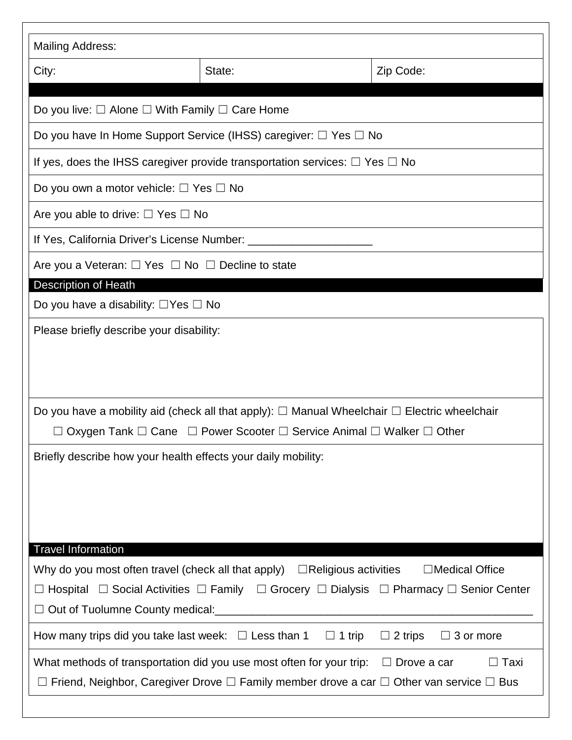| <b>Mailing Address:</b>                                                                                                                                                                                                                                             |                                                                                                                                                                                                          |                                    |  |  |
|---------------------------------------------------------------------------------------------------------------------------------------------------------------------------------------------------------------------------------------------------------------------|----------------------------------------------------------------------------------------------------------------------------------------------------------------------------------------------------------|------------------------------------|--|--|
| City:                                                                                                                                                                                                                                                               | State:                                                                                                                                                                                                   | Zip Code:                          |  |  |
|                                                                                                                                                                                                                                                                     |                                                                                                                                                                                                          |                                    |  |  |
| Do you live: $\Box$ Alone $\Box$ With Family $\Box$ Care Home                                                                                                                                                                                                       |                                                                                                                                                                                                          |                                    |  |  |
|                                                                                                                                                                                                                                                                     | Do you have In Home Support Service (IHSS) caregiver: $\Box$ Yes $\Box$ No                                                                                                                               |                                    |  |  |
|                                                                                                                                                                                                                                                                     | If yes, does the IHSS caregiver provide transportation services: $\Box$ Yes $\Box$ No                                                                                                                    |                                    |  |  |
| Do you own a motor vehicle: $\Box$ Yes $\Box$ No                                                                                                                                                                                                                    |                                                                                                                                                                                                          |                                    |  |  |
| Are you able to drive: $\Box$ Yes $\Box$ No                                                                                                                                                                                                                         |                                                                                                                                                                                                          |                                    |  |  |
| If Yes, California Driver's License Number: _______________                                                                                                                                                                                                         |                                                                                                                                                                                                          |                                    |  |  |
| Are you a Veteran: $\Box$ Yes $\Box$ No $\Box$ Decline to state                                                                                                                                                                                                     |                                                                                                                                                                                                          |                                    |  |  |
| <b>Description of Heath</b>                                                                                                                                                                                                                                         |                                                                                                                                                                                                          |                                    |  |  |
| Do you have a disability: $\Box$ Yes $\Box$ No                                                                                                                                                                                                                      |                                                                                                                                                                                                          |                                    |  |  |
|                                                                                                                                                                                                                                                                     | Do you have a mobility aid (check all that apply): $\Box$ Manual Wheelchair $\Box$ Electric wheelchair                                                                                                   |                                    |  |  |
|                                                                                                                                                                                                                                                                     | $\Box$ Oxygen Tank $\Box$ Cane $\Box$ Power Scooter $\Box$ Service Animal $\Box$ Walker $\Box$ Other                                                                                                     |                                    |  |  |
| Briefly describe how your health effects your daily mobility:                                                                                                                                                                                                       |                                                                                                                                                                                                          |                                    |  |  |
| <b>Travel Information</b>                                                                                                                                                                                                                                           |                                                                                                                                                                                                          |                                    |  |  |
| □Medical Office<br>Why do you most often travel (check all that apply) $\Box$ Religious activities<br>$\Box$ Hospital $\Box$ Social Activities $\Box$ Family $\Box$ Grocery $\Box$ Dialysis $\Box$ Pharmacy $\Box$ Senior Center<br>Out of Tuolumne County medical: |                                                                                                                                                                                                          |                                    |  |  |
|                                                                                                                                                                                                                                                                     | How many trips did you take last week: $\Box$ Less than 1 $\Box$ 1 trip                                                                                                                                  | $\Box$ 2 trips<br>$\Box$ 3 or more |  |  |
|                                                                                                                                                                                                                                                                     | What methods of transportation did you use most often for your trip: $\Box$ Drove a car<br>$\Box$ Friend, Neighbor, Caregiver Drove $\Box$ Family member drove a car $\Box$ Other van service $\Box$ Bus | $\Box$ Taxi                        |  |  |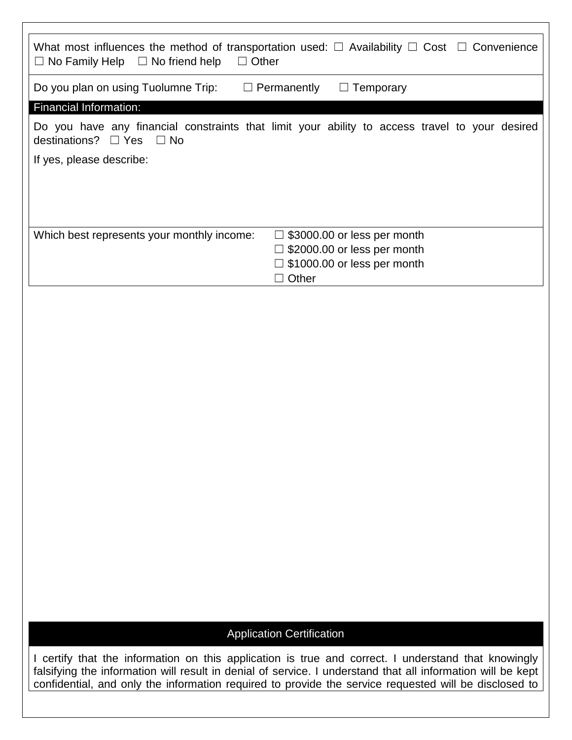| $\Box$ No Family Help $\Box$ No friend help<br>$\Box$ Other | What most influences the method of transportation used: $\Box$ Availability $\Box$ Cost $\Box$ Convenience |
|-------------------------------------------------------------|------------------------------------------------------------------------------------------------------------|
| Do you plan on using Tuolumne Trip:                         | $\Box$ Permanently<br>Temporary                                                                            |
| <b>Financial Information:</b>                               |                                                                                                            |
| destinations? $\Box$ Yes $\Box$ No                          | Do you have any financial constraints that limit your ability to access travel to your desired             |
| If yes, please describe:                                    |                                                                                                            |
|                                                             |                                                                                                            |
|                                                             |                                                                                                            |
|                                                             |                                                                                                            |
| Which best represents your monthly income:                  | $\Box$ \$3000.00 or less per month                                                                         |
|                                                             | $\Box$ \$2000.00 or less per month                                                                         |
|                                                             | $\Box$ \$1000.00 or less per month                                                                         |
|                                                             | Other                                                                                                      |

## Application Certification

I certify that the information on this application is true and correct. I understand that knowingly falsifying the information will result in denial of service. I understand that all information will be kept confidential, and only the information required to provide the service requested will be disclosed to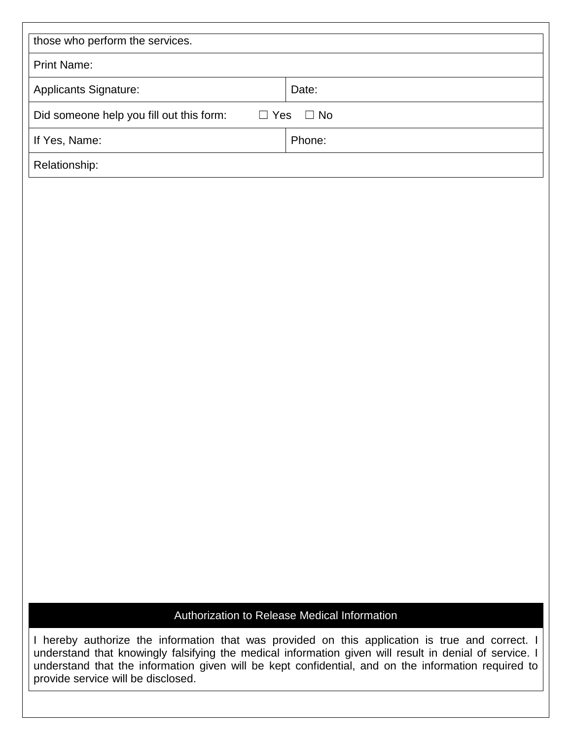| those who perform the services.                                     |        |  |  |  |
|---------------------------------------------------------------------|--------|--|--|--|
| <b>Print Name:</b>                                                  |        |  |  |  |
| <b>Applicants Signature:</b>                                        | Date:  |  |  |  |
| Did someone help you fill out this form:<br>$\Box$ Yes<br>$\Box$ No |        |  |  |  |
| If Yes, Name:                                                       | Phone: |  |  |  |
| Relationship:                                                       |        |  |  |  |

## Authorization to Release Medical Information

I hereby authorize the information that was provided on this application is true and correct. I understand that knowingly falsifying the medical information given will result in denial of service. I understand that the information given will be kept confidential, and on the information required to provide service will be disclosed.